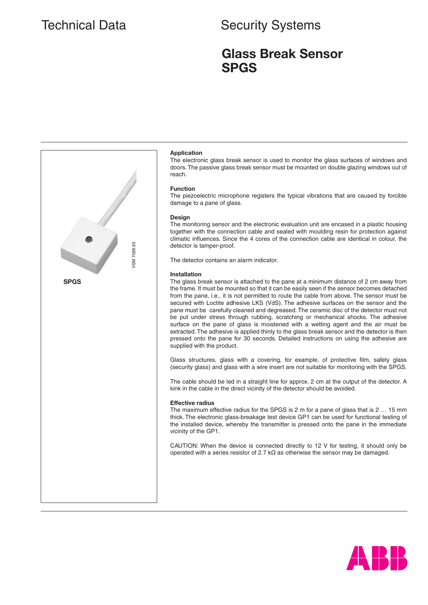## Technical Data Security Systems

### **Glass Break Sensor SPGS**



#### **Application**

The electronic glass break sensor is used to monitor the glass surfaces of windows and doors. The passive glass break sensor must be mounted on double glazing windows out of reach.

#### **Function**

The piezoelectric microphone registers the typical vibrations that are caused by forcible damage to a pane of glass.

#### **Design**

The monitoring sensor and the electronic evaluation unit are encased in a plastic housing together with the connection cable and sealed with moulding resin for protection against climatic influences. Since the 4 cores of the connection cable are identical in colour, the detector is tamper-proof.

The detector contains an alarm indicator.

#### **Installation**

The glass break sensor is attached to the pane at a minimum distance of 2 cm away from the frame. It must be mounted so that it can be easily seen if the sensor becomes detached from the pane, i.e., it is not permitted to route the cable from above. The sensor must be secured with Loctite adhesive LKS (VdS). The adhesive surfaces on the sensor and the pane must be carefully cleaned and degreased. The ceramic disc of the detector must not be put under stress through rubbing, scratching or mechanical shocks. The adhesive surface on the pane of glass is moistened with a wetting agent and the air must be extracted. The adhesive is applied thinly to the glass break sensor and the detector is then pressed onto the pane for 30 seconds. Detailed instructions on using the adhesive are supplied with the product.

Glass structures, glass with a covering, for example, of protective film, safety glass (security glass) and glass with a wire insert are not suitable for monitoring with the SPGS.

The cable should be led in a straight line for approx. 2 cm at the output of the detector. A kink in the cable in the direct vicinity of the detector should be avoided.

#### **Effective radius**

The maximum effective radius for the SPGS is 2 m for a pane of glass that is 2 … 15 mm thick. The electronic glass-breakage test device GP1 can be used for functional testing of the installed device, whereby the transmitter is pressed onto the pane in the immediate vicinity of the GP1.

CAUTION: When the device is connected directly to 12 V for testing, it should only be operated with a series resistor of 2.7  $k\Omega$  as otherwise the sensor may be damaged.